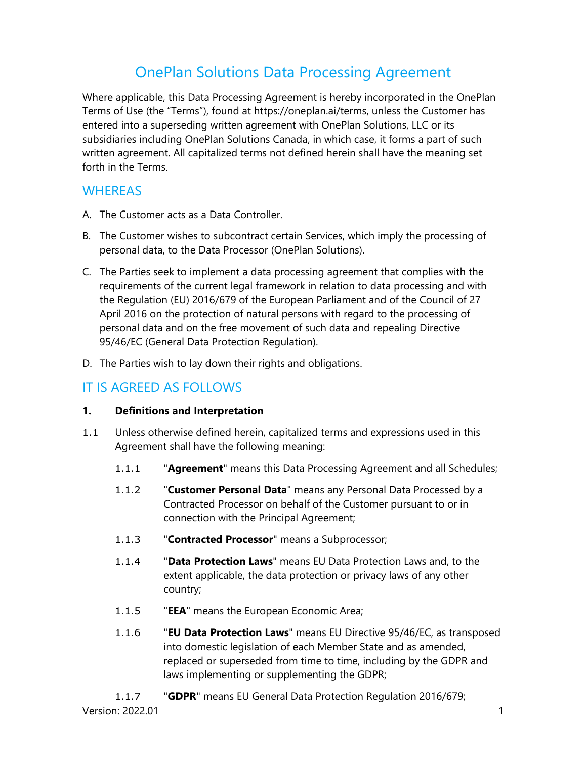# OnePlan Solutions Data Processing Agreement

Where applicable, this Data Processing Agreement is hereby incorporated in the OnePlan Terms of Use (the "Terms"), found at https://oneplan.ai/terms, unless the Customer has entered into a superseding written agreement with OnePlan Solutions, LLC or its subsidiaries including OnePlan Solutions Canada, in which case, it forms a part of such written agreement. All capitalized terms not defined herein shall have the meaning set forth in the Terms.

## **WHEREAS**

- A. The Customer acts as a Data Controller.
- B. The Customer wishes to subcontract certain Services, which imply the processing of personal data, to the Data Processor (OnePlan Solutions).
- C. The Parties seek to implement a data processing agreement that complies with the requirements of the current legal framework in relation to data processing and with the Regulation (EU) 2016/679 of the European Parliament and of the Council of 27 April 2016 on the protection of natural persons with regard to the processing of personal data and on the free movement of such data and repealing Directive 95/46/EC (General Data Protection Regulation).
- D. The Parties wish to lay down their rights and obligations.

## IT IS AGREED AS FOLLOWS

### **1. Definitions and Interpretation**

- 1.1 Unless otherwise defined herein, capitalized terms and expressions used in this Agreement shall have the following meaning:
	- 1.1.1 "**Agreement**" means this Data Processing Agreement and all Schedules;
	- 1.1.2 "**Customer Personal Data**" means any Personal Data Processed by a Contracted Processor on behalf of the Customer pursuant to or in connection with the Principal Agreement;
	- 1.1.3 "**Contracted Processor**" means a Subprocessor;
	- 1.1.4 "**Data Protection Laws**" means EU Data Protection Laws and, to the extent applicable, the data protection or privacy laws of any other country;
	- 1.1.5 "**EEA**" means the European Economic Area;
	- 1.1.6 "**EU Data Protection Laws**" means EU Directive 95/46/EC, as transposed into domestic legislation of each Member State and as amended, replaced or superseded from time to time, including by the GDPR and laws implementing or supplementing the GDPR;
	- 1.1.7 "**GDPR**" means EU General Data Protection Regulation 2016/679;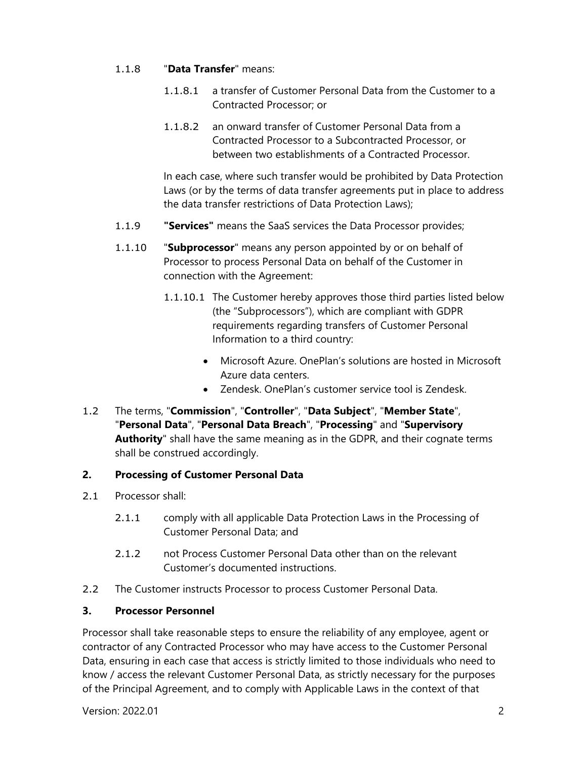#### 1.1.8 "**Data Transfer**" means:

- 1.1.8.1 a transfer of Customer Personal Data from the Customer to a Contracted Processor; or
- 1.1.8.2 an onward transfer of Customer Personal Data from a Contracted Processor to a Subcontracted Processor, or between two establishments of a Contracted Processor.

In each case, where such transfer would be prohibited by Data Protection Laws (or by the terms of data transfer agreements put in place to address the data transfer restrictions of Data Protection Laws);

- 1.1.9 **"Services"** means the SaaS services the Data Processor provides;
- 1.1.10 "**Subprocessor**" means any person appointed by or on behalf of Processor to process Personal Data on behalf of the Customer in connection with the Agreement:
	- 1.1.10.1 The Customer hereby approves those third parties listed below (the "Subprocessors"), which are compliant with GDPR requirements regarding transfers of Customer Personal Information to a third country:
		- Microsoft Azure. OnePlan's solutions are hosted in Microsoft Azure data centers.
		- Zendesk. OnePlan's customer service tool is Zendesk.
- 1.2 The terms, "**Commission**", "**Controller**", "**Data Subject**", "**Member State**", "**Personal Data**", "**Personal Data Breach**", "**Processing**" and "**Supervisory Authority**" shall have the same meaning as in the GDPR, and their cognate terms shall be construed accordingly.

## **2. Processing of Customer Personal Data**

- 2.1 Processor shall:
	- 2.1.1 comply with all applicable Data Protection Laws in the Processing of Customer Personal Data; and
	- 2.1.2 not Process Customer Personal Data other than on the relevant Customer's documented instructions.
- 2.2 The Customer instructs Processor to process Customer Personal Data.

### **3. Processor Personnel**

Processor shall take reasonable steps to ensure the reliability of any employee, agent or contractor of any Contracted Processor who may have access to the Customer Personal Data, ensuring in each case that access is strictly limited to those individuals who need to know / access the relevant Customer Personal Data, as strictly necessary for the purposes of the Principal Agreement, and to comply with Applicable Laws in the context of that

Version: 2022.01 2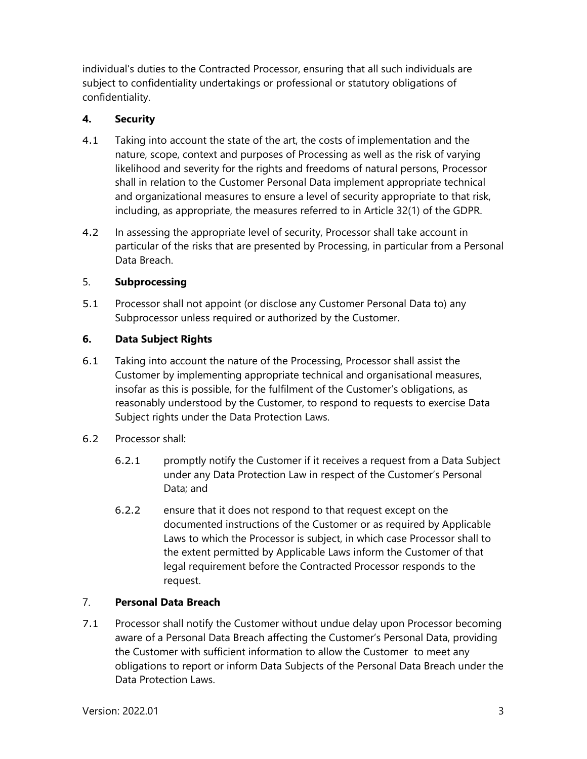individual's duties to the Contracted Processor, ensuring that all such individuals are subject to confidentiality undertakings or professional or statutory obligations of confidentiality.

## **4. Security**

- 4.1 Taking into account the state of the art, the costs of implementation and the nature, scope, context and purposes of Processing as well as the risk of varying likelihood and severity for the rights and freedoms of natural persons, Processor shall in relation to the Customer Personal Data implement appropriate technical and organizational measures to ensure a level of security appropriate to that risk, including, as appropriate, the measures referred to in Article 32(1) of the GDPR.
- 4.2 In assessing the appropriate level of security, Processor shall take account in particular of the risks that are presented by Processing, in particular from a Personal Data Breach.

## 5. **Subprocessing**

5.1 Processor shall not appoint (or disclose any Customer Personal Data to) any Subprocessor unless required or authorized by the Customer.

## **6. Data Subject Rights**

- 6.1 Taking into account the nature of the Processing, Processor shall assist the Customer by implementing appropriate technical and organisational measures, insofar as this is possible, for the fulfilment of the Customer's obligations, as reasonably understood by the Customer, to respond to requests to exercise Data Subject rights under the Data Protection Laws.
- 6.2 Processor shall:
	- 6.2.1 promptly notify the Customer if it receives a request from a Data Subject under any Data Protection Law in respect of the Customer's Personal Data; and
	- 6.2.2 ensure that it does not respond to that request except on the documented instructions of the Customer or as required by Applicable Laws to which the Processor is subject, in which case Processor shall to the extent permitted by Applicable Laws inform the Customer of that legal requirement before the Contracted Processor responds to the request.

## 7. **Personal Data Breach**

7.1 Processor shall notify the Customer without undue delay upon Processor becoming aware of a Personal Data Breach affecting the Customer's Personal Data, providing the Customer with sufficient information to allow the Customer to meet any obligations to report or inform Data Subjects of the Personal Data Breach under the Data Protection Laws.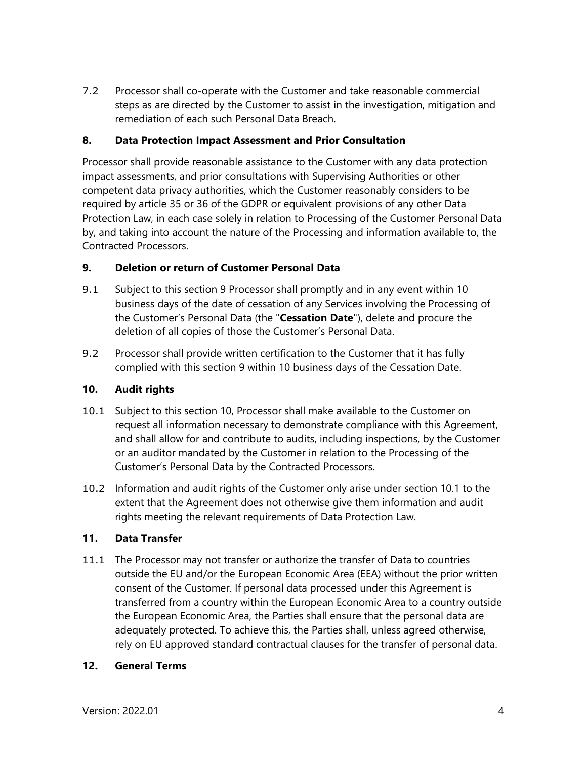7.2 Processor shall co-operate with the Customer and take reasonable commercial steps as are directed by the Customer to assist in the investigation, mitigation and remediation of each such Personal Data Breach.

### **8. Data Protection Impact Assessment and Prior Consultation**

Processor shall provide reasonable assistance to the Customer with any data protection impact assessments, and prior consultations with Supervising Authorities or other competent data privacy authorities, which the Customer reasonably considers to be required by article 35 or 36 of the GDPR or equivalent provisions of any other Data Protection Law, in each case solely in relation to Processing of the Customer Personal Data by, and taking into account the nature of the Processing and information available to, the Contracted Processors.

#### **9. Deletion or return of Customer Personal Data**

- 9.1 Subject to this section 9 Processor shall promptly and in any event within 10 business days of the date of cessation of any Services involving the Processing of the Customer's Personal Data (the "**Cessation Date**"), delete and procure the deletion of all copies of those the Customer's Personal Data.
- 9.2 Processor shall provide written certification to the Customer that it has fully complied with this section 9 within 10 business days of the Cessation Date.

#### **10. Audit rights**

- 10.1 Subject to this section 10, Processor shall make available to the Customer on request all information necessary to demonstrate compliance with this Agreement, and shall allow for and contribute to audits, including inspections, by the Customer or an auditor mandated by the Customer in relation to the Processing of the Customer's Personal Data by the Contracted Processors.
- 10.2 Information and audit rights of the Customer only arise under section 10.1 to the extent that the Agreement does not otherwise give them information and audit rights meeting the relevant requirements of Data Protection Law.

### **11. Data Transfer**

11.1 The Processor may not transfer or authorize the transfer of Data to countries outside the EU and/or the European Economic Area (EEA) without the prior written consent of the Customer. If personal data processed under this Agreement is transferred from a country within the European Economic Area to a country outside the European Economic Area, the Parties shall ensure that the personal data are adequately protected. To achieve this, the Parties shall, unless agreed otherwise, rely on EU approved standard contractual clauses for the transfer of personal data.

#### **12. General Terms**